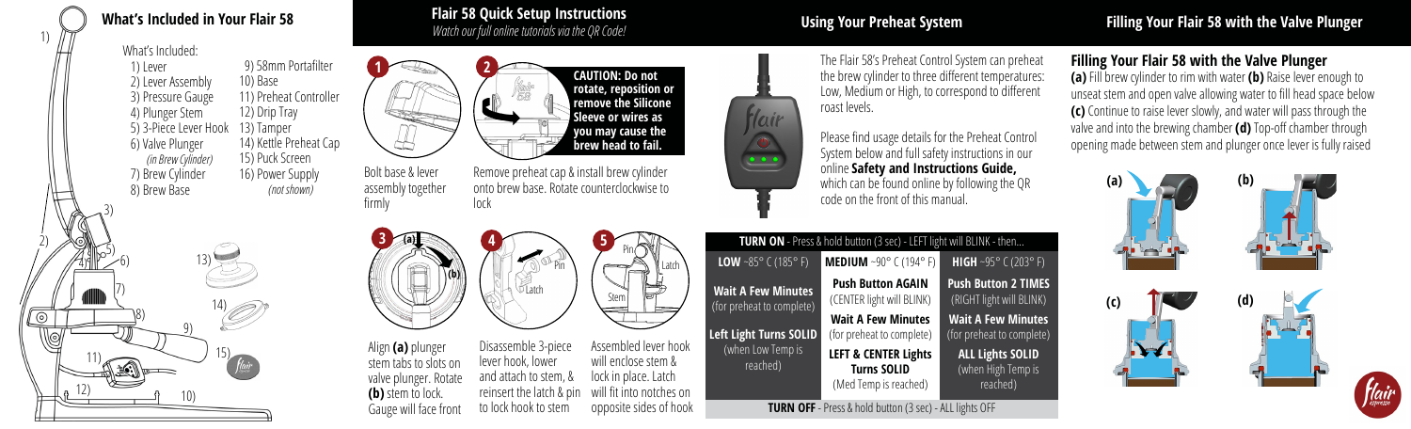# **What's Included in Your Flair 58 Flair 58 Quick Setup Instructions**

## *Watch our full online tutorials via the QR Code!* **Using Your Preheat System Filling Your Flair 58 with the Valve Plunger**

What's Included:

1)

 1) Lever 2) Lever Assembly 3) Pressure Gauge 4) Plunger Stem 5) 3-Piece Lever Hook 6) Valve Plunger *(in Brew Cylinder)* 7) Brew Cylinder 8) Brew Base 9) 58mm Portafilter 10) Base 11) Preheat Controller 12) Drip Tray 13) Tamper 14) Kettle Preheat Cap 15) Puck Screen 16) Power Supply *(not shown)*





assembly together firmly



lock



Disassemble 3-piece lever hook, lower and attach to stem, & reinsert the latch & pin to lock hook to stem Assembled lever hook will enclose stem & lock in place. Latch will fit into notches on opposite sides of hook

**5**

Pin

Stem

Latch

Pin

**CAUTION: Do not rotate, reposition or remove the Silicone Sleeve or wires as you may cause the brew head to fail.**

The Flair 58's Preheat Control System can preheat the brew cylinder to three different temperatures: Low, Medium or High, to correspond to different roast levels.

Hair  $\bigcirc$  $\frac{\cdot \cdot \cdot}{\cdot \cdot \cdot \cdot}$ 

Please find usage details for the Preheat Control System below and full safety instructions in our online **Safety and Instructions Guide,**  which can be found online by following the QR code on the front of this manual.

| TURN ON - Press & hold button (3 sec) - LEFT light will BLINK - then |                                                                                |                                                           |
|----------------------------------------------------------------------|--------------------------------------------------------------------------------|-----------------------------------------------------------|
| <b>LOW</b> ~85° $C(185° F)$                                          | <b>MEDIUM</b> ~90° C (194° F)                                                  | <b>HIGH</b> ~95° C (203° F)                               |
| <b>Wait A Few Minutes</b><br>(for preheat to complete)               | <b>Push Button AGAIN</b><br>(CENTER light will BLINK)                          | <b>Push Button 2 TIMES</b><br>(RIGHT light will BLINK)    |
| Left Light Turns SOLID                                               | <b>Wait A Few Minutes</b><br>(for preheat to complete)                         | <b>Wait A Few Minutes</b><br>(for preheat to complete)    |
| (when Low Temp is<br>reached)                                        | <b>LEFT &amp; CENTER Lights</b><br><b>Turns SOLID</b><br>(Med Temp is reached) | <b>ALL Lights SOLID</b><br>(when High Temp is<br>reached) |

**TURN OFF** - Press & hold button (3 sec) - ALL lights OFF

## **Filling Your Flair 58 with the Valve Plunger**

**(a)** Fill brew cylinder to rim with water **(b)** Raise lever enough to unseat stem and open valve allowing water to fill head space below **(c)** Continue to raise lever slowly, and water will pass through the valve and into the brewing chamber **(d)** Top-off chamber through opening made between stem and plunger once lever is fully raised



flair